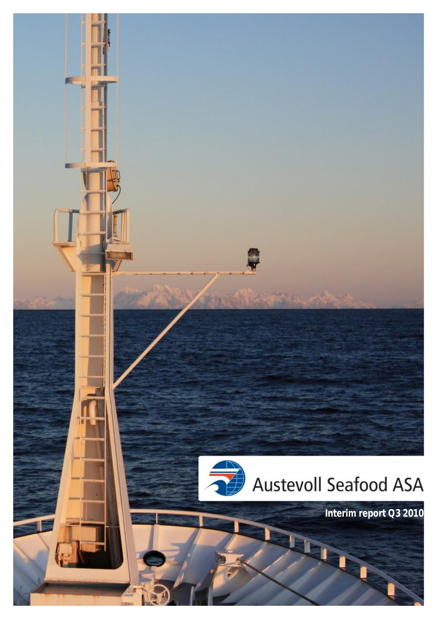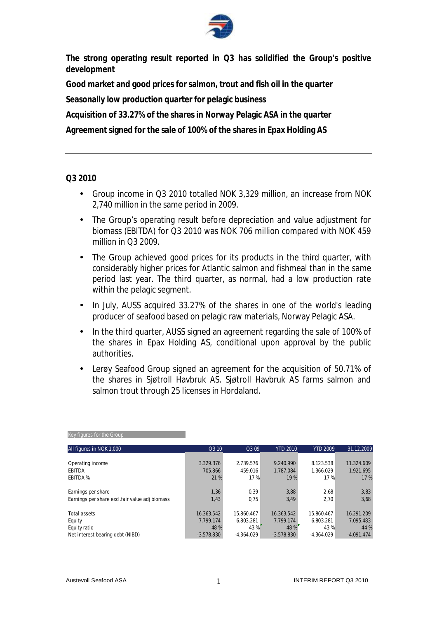

**The strong operating result reported in Q3 has solidified the Group's positive development** 

**Good market and good prices for salmon, trout and fish oil in the quarter** 

**Seasonally low production quarter for pelagic business** 

**Acquisition of 33.27% of the shares in Norway Pelagic ASA in the quarter** 

**Agreement signed for the sale of 100% of the shares in Epax Holding AS** 

#### **Q3 2010**

- Group income in Q3 2010 totalled NOK 3,329 million, an increase from NOK 2,740 million in the same period in 2009.
- The Group's operating result before depreciation and value adjustment for biomass (EBITDA) for Q3 2010 was NOK 706 million compared with NOK 459 million in Q3 2009
- The Group achieved good prices for its products in the third quarter, with considerably higher prices for Atlantic salmon and fishmeal than in the same period last year. The third quarter, as normal, had a low production rate within the pelagic segment.
- In July, AUSS acquired 33.27% of the shares in one of the world's leading producer of seafood based on pelagic raw materials, Norway Pelagic ASA.
- In the third quarter, AUSS signed an agreement regarding the sale of 100% of the shares in Epax Holding AS, conditional upon approval by the public authorities.
- Lerøy Seafood Group signed an agreement for the acquisition of 50.71% of the shares in Sjøtroll Havbruk AS. Sjøtroll Havbruk AS farms salmon and salmon trout through 25 licenses in Hordaland.

| All figures in NOK 1.000                        | Q3 10        | Q3 09        | <b>YTD 2010</b> | <b>YTD 2009</b> | 31.12.2009   |
|-------------------------------------------------|--------------|--------------|-----------------|-----------------|--------------|
|                                                 |              |              |                 |                 |              |
| Operating income                                | 3.329.376    | 2.739.576    | 9.240.990       | 8.123.538       | 11.324.609   |
| <b>EBITDA</b>                                   | 705.866      | 459.016      | 1.787.084       | 1.366.029       | 1.921.695    |
| <b>EBITDA %</b>                                 | 21 %         | 17 %         | 19 %            | 17%             | 17 %         |
| Earnings per share                              | 1,36         | 0,39         | 3,88            | 2,68            | 3,83         |
| Earnings per share excl. fair value adj biomass | 1,43         | 0.75         | 3,49            | 2.70            | 3,68         |
| <b>Total assets</b>                             | 16.363.542   | 15.860.467   | 16.363.542      | 15.860.467      | 16.291.209   |
| Equity                                          | 7.799.174    | 6.803.281    | 7.799.174       | 6.803.281       | 7.095.483    |
| Equity ratio                                    | 48 %         | 43 %         | 48 %            | 43%             | 44 %         |
| Net interest bearing debt (NIBD)                | $-3.578.830$ | $-4.364.029$ | $-3.578.830$    | $-4.364.029$    | $-4.091.474$ |

|--|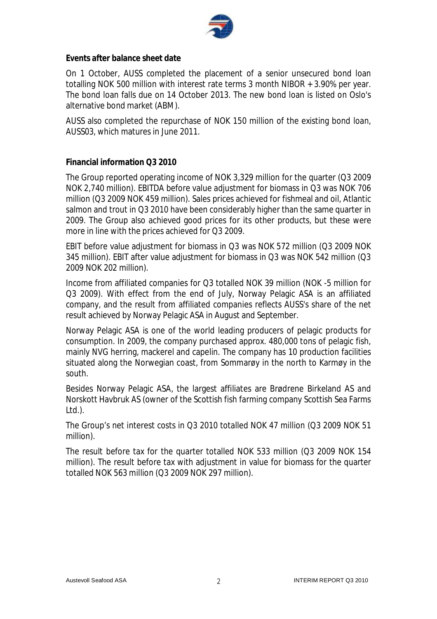

**Events after balance sheet date** 

On 1 October, AUSS completed the placement of a senior unsecured bond loan totalling NOK 500 million with interest rate terms 3 month NIBOR + 3.90% per year. The bond loan falls due on 14 October 2013. The new bond loan is listed on Oslo's alternative bond market (ABM).

AUSS also completed the repurchase of NOK 150 million of the existing bond loan, AUSS03, which matures in June 2011.

### **Financial information Q3 2010**

The Group reported operating income of NOK 3,329 million for the quarter (Q3 2009 NOK 2,740 million). EBITDA before value adjustment for biomass in Q3 was NOK 706 million (Q3 2009 NOK 459 million). Sales prices achieved for fishmeal and oil, Atlantic salmon and trout in Q3 2010 have been considerably higher than the same quarter in 2009. The Group also achieved good prices for its other products, but these were more in line with the prices achieved for Q3 2009.

EBIT before value adjustment for biomass in Q3 was NOK 572 million (Q3 2009 NOK 345 million). EBIT after value adjustment for biomass in Q3 was NOK 542 million (Q3 2009 NOK 202 million).

Income from affiliated companies for Q3 totalled NOK 39 million (NOK -5 million for Q3 2009). With effect from the end of July, Norway Pelagic ASA is an affiliated company, and the result from affiliated companies reflects AUSS's share of the net result achieved by Norway Pelagic ASA in August and September.

Norway Pelagic ASA is one of the world leading producers of pelagic products for consumption. In 2009, the company purchased approx. 480,000 tons of pelagic fish, mainly NVG herring, mackerel and capelin. The company has 10 production facilities situated along the Norwegian coast, from Sommarøy in the north to Karmøy in the south.

Besides Norway Pelagic ASA, the largest affiliates are Brødrene Birkeland AS and Norskott Havbruk AS (owner of the Scottish fish farming company Scottish Sea Farms Ltd.).

The Group's net interest costs in Q3 2010 totalled NOK 47 million (Q3 2009 NOK 51 million).

The result before tax for the quarter totalled NOK 533 million (Q3 2009 NOK 154 million). The result before tax with adjustment in value for biomass for the quarter totalled NOK 563 million (Q3 2009 NOK 297 million).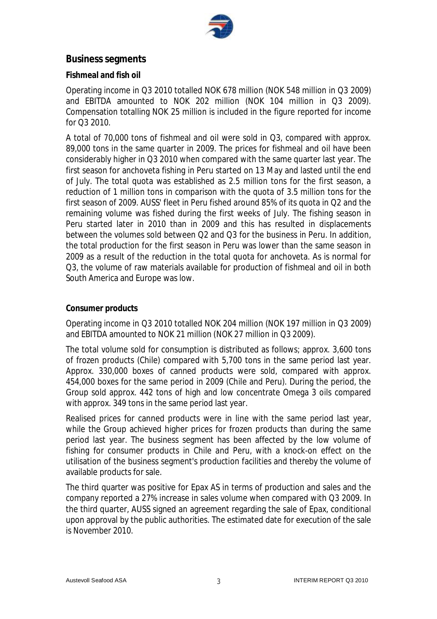

# **Business segments**

#### **Fishmeal and fish oil**

Operating income in Q3 2010 totalled NOK 678 million (NOK 548 million in Q3 2009) and EBITDA amounted to NOK 202 million (NOK 104 million in Q3 2009). Compensation totalling NOK 25 million is included in the figure reported for income for Q3 2010.

A total of 70,000 tons of fishmeal and oil were sold in Q3, compared with approx. 89,000 tons in the same quarter in 2009. The prices for fishmeal and oil have been considerably higher in Q3 2010 when compared with the same quarter last year. The first season for anchoveta fishing in Peru started on 13 May and lasted until the end of July. The total quota was established as 2.5 million tons for the first season, a reduction of 1 million tons in comparison with the quota of 3.5 million tons for the first season of 2009. AUSS' fleet in Peru fished around 85% of its quota in Q2 and the remaining volume was fished during the first weeks of July. The fishing season in Peru started later in 2010 than in 2009 and this has resulted in displacements between the volumes sold between Q2 and Q3 for the business in Peru. In addition, the total production for the first season in Peru was lower than the same season in 2009 as a result of the reduction in the total quota for anchoveta. As is normal for Q3, the volume of raw materials available for production of fishmeal and oil in both South America and Europe was low.

#### **Consumer products**

Operating income in Q3 2010 totalled NOK 204 million (NOK 197 million in Q3 2009) and EBITDA amounted to NOK 21 million (NOK 27 million in Q3 2009).

The total volume sold for consumption is distributed as follows; approx. 3,600 tons of frozen products (Chile) compared with 5,700 tons in the same period last year. Approx. 330,000 boxes of canned products were sold, compared with approx. 454,000 boxes for the same period in 2009 (Chile and Peru). During the period, the Group sold approx. 442 tons of high and low concentrate Omega 3 oils compared with approx. 349 tons in the same period last year.

Realised prices for canned products were in line with the same period last year, while the Group achieved higher prices for frozen products than during the same period last year. The business segment has been affected by the low volume of fishing for consumer products in Chile and Peru, with a knock-on effect on the utilisation of the business segment's production facilities and thereby the volume of available products for sale.

The third quarter was positive for Epax AS in terms of production and sales and the company reported a 27% increase in sales volume when compared with Q3 2009. In the third quarter, AUSS signed an agreement regarding the sale of Epax, conditional upon approval by the public authorities. The estimated date for execution of the sale is November 2010.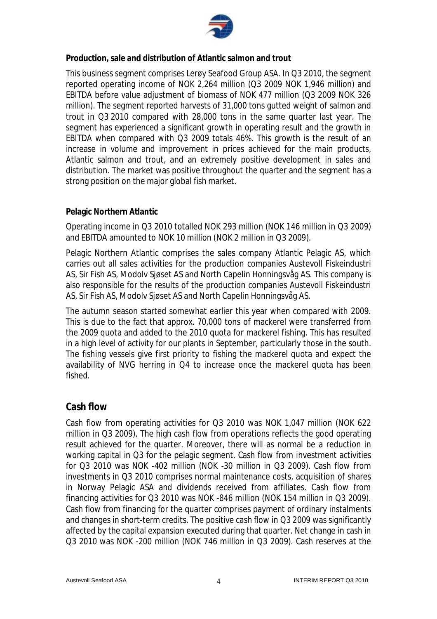

**Production, sale and distribution of Atlantic salmon and trout** 

This business segment comprises Lerøy Seafood Group ASA. In Q3 2010, the segment reported operating income of NOK 2,264 million (Q3 2009 NOK 1,946 million) and EBITDA before value adjustment of biomass of NOK 477 million (Q3 2009 NOK 326 million). The segment reported harvests of 31,000 tons gutted weight of salmon and trout in Q3 2010 compared with 28,000 tons in the same quarter last year. The segment has experienced a significant growth in operating result and the growth in EBITDA when compared with Q3 2009 totals 46%. This growth is the result of an increase in volume and improvement in prices achieved for the main products, Atlantic salmon and trout, and an extremely positive development in sales and distribution. The market was positive throughout the quarter and the segment has a strong position on the major global fish market.

#### **Pelagic Northern Atlantic**

Operating income in Q3 2010 totalled NOK 293 million (NOK 146 million in Q3 2009) and EBITDA amounted to NOK 10 million (NOK 2 million in Q3 2009).

Pelagic Northern Atlantic comprises the sales company Atlantic Pelagic AS, which carries out all sales activities for the production companies Austevoll Fiskeindustri AS, Sir Fish AS, Modolv Sjøset AS and North Capelin Honningsvåg AS. This company is also responsible for the results of the production companies Austevoll Fiskeindustri AS, Sir Fish AS, Modolv Sjøset AS and North Capelin Honningsvåg AS.

The autumn season started somewhat earlier this year when compared with 2009. This is due to the fact that approx. 70,000 tons of mackerel were transferred from the 2009 quota and added to the 2010 quota for mackerel fishing. This has resulted in a high level of activity for our plants in September, particularly those in the south. The fishing vessels give first priority to fishing the mackerel quota and expect the availability of NVG herring in Q4 to increase once the mackerel quota has been fished.

## **Cash flow**

Cash flow from operating activities for Q3 2010 was NOK 1,047 million (NOK 622 million in Q3 2009). The high cash flow from operations reflects the good operating result achieved for the quarter. Moreover, there will as normal be a reduction in working capital in Q3 for the pelagic segment. Cash flow from investment activities for Q3 2010 was NOK -402 million (NOK -30 million in Q3 2009). Cash flow from investments in Q3 2010 comprises normal maintenance costs, acquisition of shares in Norway Pelagic ASA and dividends received from affiliates. Cash flow from financing activities for Q3 2010 was NOK -846 million (NOK 154 million in Q3 2009). Cash flow from financing for the quarter comprises payment of ordinary instalments and changes in short-term credits. The positive cash flow in Q3 2009 was significantly affected by the capital expansion executed during that quarter. Net change in cash in Q3 2010 was NOK -200 million (NOK 746 million in Q3 2009). Cash reserves at the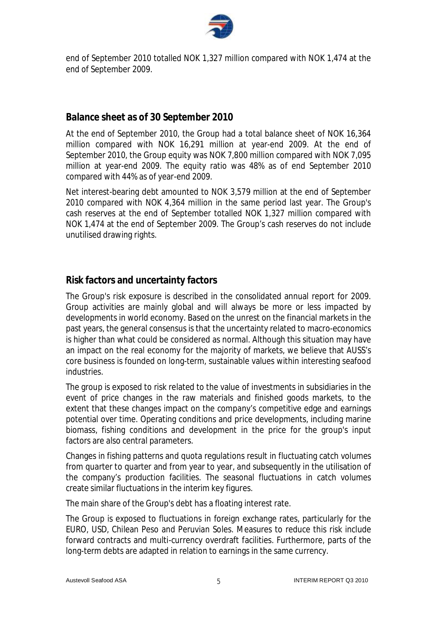

end of September 2010 totalled NOK 1,327 million compared with NOK 1,474 at the end of September 2009.

# **Balance sheet as of 30 September 2010**

At the end of September 2010, the Group had a total balance sheet of NOK 16,364 million compared with NOK 16,291 million at year-end 2009. At the end of September 2010, the Group equity was NOK 7,800 million compared with NOK 7,095 million at year-end 2009. The equity ratio was 48% as of end September 2010 compared with 44% as of year-end 2009.

Net interest-bearing debt amounted to NOK 3,579 million at the end of September 2010 compared with NOK 4,364 million in the same period last year. The Group's cash reserves at the end of September totalled NOK 1,327 million compared with NOK 1,474 at the end of September 2009. The Group's cash reserves do not include unutilised drawing rights.

# **Risk factors and uncertainty factors**

The Group's risk exposure is described in the consolidated annual report for 2009. Group activities are mainly global and will always be more or less impacted by developments in world economy. Based on the unrest on the financial markets in the past years, the general consensus is that the uncertainty related to macro-economics is higher than what could be considered as normal. Although this situation may have an impact on the real economy for the majority of markets, we believe that AUSS's core business is founded on long-term, sustainable values within interesting seafood industries.

The group is exposed to risk related to the value of investments in subsidiaries in the event of price changes in the raw materials and finished goods markets, to the extent that these changes impact on the company's competitive edge and earnings potential over time. Operating conditions and price developments, including marine biomass, fishing conditions and development in the price for the group's input factors are also central parameters.

Changes in fishing patterns and quota regulations result in fluctuating catch volumes from quarter to quarter and from year to year, and subsequently in the utilisation of the company's production facilities. The seasonal fluctuations in catch volumes create similar fluctuations in the interim key figures.

The main share of the Group's debt has a floating interest rate.

The Group is exposed to fluctuations in foreign exchange rates, particularly for the EURO, USD, Chilean Peso and Peruvian Soles. Measures to reduce this risk include forward contracts and multi-currency overdraft facilities. Furthermore, parts of the long-term debts are adapted in relation to earnings in the same currency.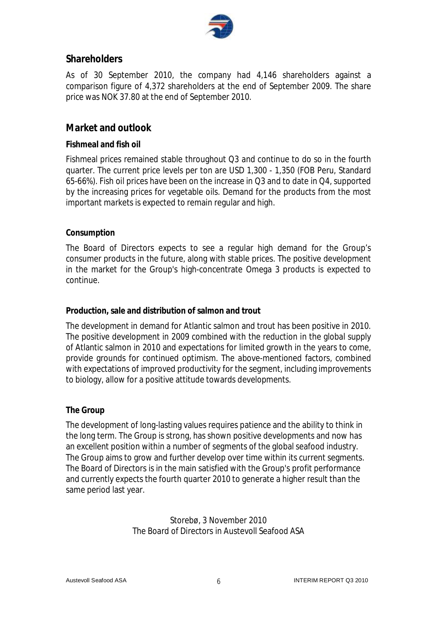

# **Shareholders**

As of 30 September 2010, the company had 4,146 shareholders against a comparison figure of 4,372 shareholders at the end of September 2009. The share price was NOK 37.80 at the end of September 2010.

# **Market and outlook**

### **Fishmeal and fish oil**

Fishmeal prices remained stable throughout Q3 and continue to do so in the fourth quarter. The current price levels per ton are USD 1,300 - 1,350 (FOB Peru, Standard 65-66%). Fish oil prices have been on the increase in Q3 and to date in Q4, supported by the increasing prices for vegetable oils. Demand for the products from the most important markets is expected to remain regular and high.

#### **Consumption**

The Board of Directors expects to see a regular high demand for the Group's consumer products in the future, along with stable prices. The positive development in the market for the Group's high-concentrate Omega 3 products is expected to continue.

#### **Production, sale and distribution of salmon and trout**

The development in demand for Atlantic salmon and trout has been positive in 2010. The positive development in 2009 combined with the reduction in the global supply of Atlantic salmon in 2010 and expectations for limited growth in the years to come, provide grounds for continued optimism. The above-mentioned factors, combined with expectations of improved productivity for the segment, including improvements to biology, allow for a positive attitude towards developments.

#### **The Group**

The development of long-lasting values requires patience and the ability to think in the long term. The Group is strong, has shown positive developments and now has an excellent position within a number of segments of the global seafood industry. The Group aims to grow and further develop over time within its current segments. The Board of Directors is in the main satisfied with the Group's profit performance and currently expects the fourth quarter 2010 to generate a higher result than the same period last year.

> Storebø, 3 November 2010 The Board of Directors in Austevoll Seafood ASA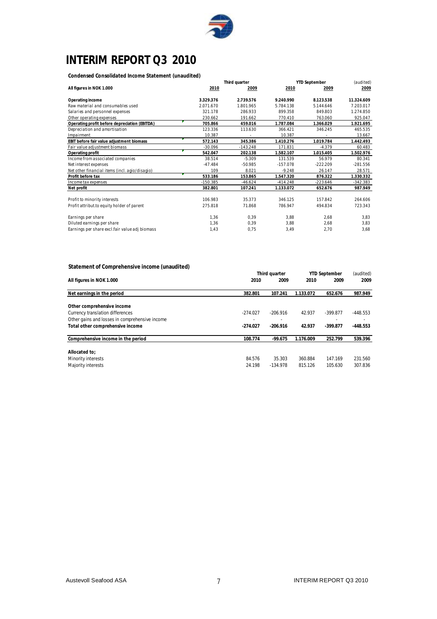

# **INTERIM REPORT Q3 2010**

**Condensed Consolidated Income Statement (unaudited)**

|                                                | Third quarter |            | <b>YTD September</b> |            |            |
|------------------------------------------------|---------------|------------|----------------------|------------|------------|
| All figures in NOK 1.000                       | 2010          | 2009       | 2010                 | 2009       | 2009       |
| Operating income                               | 3.329.376     | 2.739.576  | 9.240.990            | 8.123.538  | 11.324.609 |
| Raw material and consumables used              | 2.071.670     | 1.801.965  | 5.784.138            | 5.144.646  | 7.203.017  |
| Salaries and personnel expenses                | 321.178       | 286.933    | 899.358              | 849.803    | 1.274.850  |
| Other operating expenses                       | 230.662       | 191.662    | 770.410              | 763.060    | 925.047    |
| Operating profit before depreciation (EBITDA)  | 705.866       | 459.016    | 1.787.084            | 1.366.029  | 1.921.695  |
| Depreciation and amortisation                  | 123.336       | 113.630    | 366.421              | 346.245    | 465.535    |
| Impairment                                     | 10.387        |            | 10.387               |            | 13.667     |
| EBIT before fair value adjustment biomass      | 572.143       | 345.386    | 1.410.276            | 1.019.784  | 1.442.493  |
| Fair value adjustment biomass                  | $-30.096$     | $-143.248$ | 171.831              | $-4.379$   | 60.483     |
| Operating profit                               | 542.047       | 202.138    | 1.582.107            | 1.015.405  | 1.502.976  |
| Income from associated companies               | 38.514        | $-5.309$   | 131.539              | 56.979     | 80.341     |
| Net interest expenses                          | $-47.484$     | $-50.985$  | $-157.078$           | $-222.209$ | $-281.556$ |
| Net other financial items (incl. agio/disagio) | 109           | 8.021      | $-9.248$             | 26.147     | 28.571     |
| Profit before tax                              | 533.186       | 153.865    | 1.547.320            | 876.322    | 1.330.332  |
| Income tax expenses                            | $-150.385$    | $-46.624$  | $-414.248$           | $-223.646$ | $-342.383$ |
| Net profit                                     | 382.801       | 107.241    | 1.133.072            | 652.676    | 987.949    |
|                                                |               |            |                      |            |            |
| Profit to minority interests                   | 106.983       | 35.373     | 346.125              | 157.842    | 264.606    |
| Profit attribut to equity holder of parent     | 275.818       | 71.868     | 786.947              | 494.834    | 723.343    |
| Earnings per share                             | 1.36          | 0.39       | 3.88                 | 2,68       | 3,83       |
| Diluted earnings per share                     | 1,36          | 0,39       | 3,88                 | 2,68       | 3,83       |
| Earnings per share excl.fair value adj biomass | 1,43          | 0,75       | 3,49                 | 2,70       | 3,68       |

#### **Statement of Comprehensive income (unaudited)**

|                                                |            | Third quarter |           | <b>YTD September</b> |            |
|------------------------------------------------|------------|---------------|-----------|----------------------|------------|
| All figures in NOK 1.000                       | 2010       | 2009          | 2010      | 2009                 | 2009       |
| Net earnings in the period                     | 382.801    | 107.241       | 1.133.072 | 652.676              | 987.949    |
| Other comprehensive income                     |            |               |           |                      |            |
| <b>Currency translation differences</b>        | $-274.027$ | $-206.916$    | 42.937    | $-399.877$           | $-448.553$ |
| Other gains and losses in comprehensive income |            |               |           |                      |            |
| Total other comprehensive income               | $-274.027$ | $-206.916$    | 42.937    | $-399.877$           | $-448.553$ |
| Comprehensive income in the period             | 108.774    | $-99.675$     | 1.176.009 | 252.799              | 539.396    |
| Allocated to:                                  |            |               |           |                      |            |
| Minority interests                             | 84.576     | 35.303        | 360.884   | 147.169              | 231.560    |
| Majority interests                             | 24.198     | $-134.978$    | 815.126   | 105.630              | 307.836    |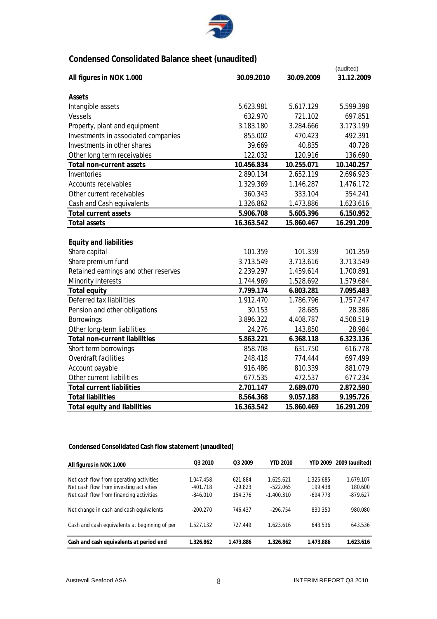

# **Condensed Consolidated Balance sheet (unaudited)**

|                                      |            |            | (audited)  |
|--------------------------------------|------------|------------|------------|
| All figures in NOK 1.000             | 30.09.2010 | 30.09.2009 | 31.12.2009 |
|                                      |            |            |            |
| Assets                               |            |            |            |
| Intangible assets                    | 5.623.981  | 5.617.129  | 5.599.398  |
| <b>Vessels</b>                       | 632.970    | 721.102    | 697.851    |
| Property, plant and equipment        | 3.183.180  | 3.284.666  | 3.173.199  |
| Investments in associated companies  | 855.002    | 470.423    | 492.391    |
| Investments in other shares          | 39.669     | 40.835     | 40.728     |
| Other long term receivables          | 122.032    | 120.916    | 136.690    |
| Total non-current assets             | 10.456.834 | 10.255.071 | 10.140.257 |
| Inventories                          | 2.890.134  | 2.652.119  | 2.696.923  |
| <b>Accounts receivables</b>          | 1.329.369  | 1.146.287  | 1.476.172  |
| Other current receivables            | 360.343    | 333.104    | 354.241    |
| Cash and Cash equivalents            | 1.326.862  | 1.473.886  | 1.623.616  |
| <b>Total current assets</b>          | 5.906.708  | 5.605.396  | 6.150.952  |
| <b>Total assets</b>                  | 16.363.542 | 15.860.467 | 16.291.209 |
|                                      |            |            |            |
| <b>Equity and liabilities</b>        |            |            |            |
| Share capital                        | 101.359    | 101.359    | 101.359    |
| Share premium fund                   | 3.713.549  | 3.713.616  | 3.713.549  |
| Retained earnings and other reserves | 2.239.297  | 1.459.614  | 1.700.891  |
| Minority interests                   | 1.744.969  | 1.528.692  | 1.579.684  |
| Total equity                         | 7.799.174  | 6.803.281  | 7.095.483  |
| Deferred tax liabilities             | 1.912.470  | 1.786.796  | 1.757.247  |
| Pension and other obligations        | 30.153     | 28.685     | 28.386     |
| <b>Borrowings</b>                    | 3.896.322  | 4.408.787  | 4.508.519  |
| Other long-term liabilities          | 24.276     | 143.850    | 28.984     |
| <b>Total non-current liabilities</b> | 5.863.221  | 6.368.118  | 6.323.136  |
| Short term borrowings                | 858.708    | 631.750    | 616.778    |
| <b>Overdraft facilities</b>          | 248.418    | 774.444    | 697.499    |
| Account payable                      | 916.486    | 810.339    | 881.079    |
| Other current liabilities            | 677.535    | 472.537    | 677.234    |
| <b>Total current liabilities</b>     | 2.701.147  | 2.689.070  | 2.872.590  |
| <b>Total liabilities</b>             | 8.564.368  | 9.057.188  | 9.195.726  |
| <b>Total equity and liabilities</b>  | 16.363.542 | 15.860.469 | 16.291.209 |

**Condensed Consolidated Cash flow statement (unaudited)**

| All figures in NOK 1.000                                                           | O <sub>3</sub> 2010     | O <sub>3</sub> 2009  | <b>YTD 2010</b>         | <b>YTD 2009</b>      | 2009 (audited)       |
|------------------------------------------------------------------------------------|-------------------------|----------------------|-------------------------|----------------------|----------------------|
|                                                                                    |                         |                      |                         |                      |                      |
| Net cash flow from operating activities<br>Net cash flow from investing activities | 1.047.458<br>$-401.718$ | 621.884<br>$-29.823$ | 1.625.621<br>$-522.065$ | 1.325.685<br>199.438 | 1.679.107<br>180.600 |
| Net cash flow from financing activities                                            | $-846.010$              | 154.376              | $-1.400.310$            | $-694.773$           | $-879.627$           |
|                                                                                    |                         |                      |                         |                      |                      |
| Net change in cash and cash equivalents                                            | $-200.270$              | 746.437              | $-296.754$              | 830.350              | 980.080              |
|                                                                                    |                         |                      |                         |                      |                      |
| Cash and cash equivalents at beginning of per-                                     | 1.527.132               | 727.449              | 1.623.616               | 643.536              | 643.536              |
|                                                                                    |                         |                      |                         | 1.473.886            |                      |
| Cash and cash equivalents at period end                                            | 1.326.862               | 1.473.886            | 1.326.862               |                      | 1.623.616            |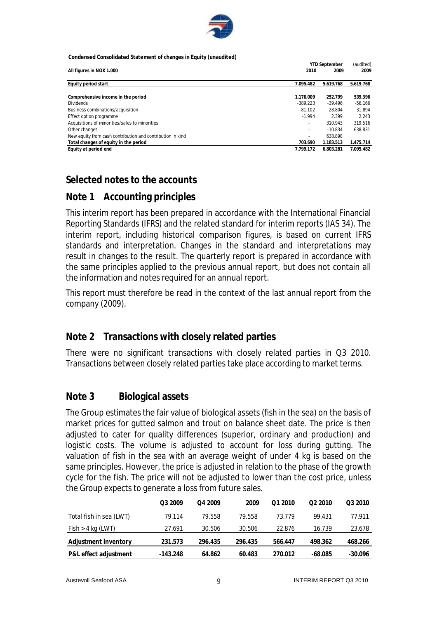

**Condensed Consolidated Statement of changes in Equity (unaudited)**

|                                                            |                          | <b>YTD September</b> |           |  |
|------------------------------------------------------------|--------------------------|----------------------|-----------|--|
| All figures in NOK 1.000                                   | 2010                     | 2009                 | 2009      |  |
| Equity period start                                        | 7.095.482                | 5.619.768            | 5.619.768 |  |
| Comprehensive income in the period                         | 1.176.009                | 252.799              | 539.396   |  |
| <b>Dividends</b>                                           | $-389.223$               | $-39.496$            | $-56.166$ |  |
| Business combinations/acquisition                          | $-81.102$                | 28.804               | 31.894    |  |
| Effect option programme                                    | $-1.994$                 | 2.399                | 2.243     |  |
| Acquisitions of minorities/sales to minorities             | $\overline{\phantom{a}}$ | 310.943              | 319.516   |  |
| Other changes                                              | $\overline{\phantom{a}}$ | $-10.834$            | 638.831   |  |
| New equity from cash contribution and contribution in kind | ٠                        | 638.898              |           |  |
| Total changes of equity in the period                      | 703.690                  | 1.183.513            | 1.475.714 |  |
| Equity at period end                                       | 7.799.172                | 6.803.281            | 7.095.482 |  |

# **Selected notes to the accounts**

# **Note 1 Accounting principles**

This interim report has been prepared in accordance with the International Financial Reporting Standards (IFRS) and the related standard for interim reports (IAS 34). The interim report, including historical comparison figures, is based on current IFRS standards and interpretation. Changes in the standard and interpretations may result in changes to the result. The quarterly report is prepared in accordance with the same principles applied to the previous annual report, but does not contain all the information and notes required for an annual report.

This report must therefore be read in the context of the last annual report from the company (2009).

## **Note 2 Transactions with closely related parties**

There were no significant transactions with closely related parties in Q3 2010. Transactions between closely related parties take place according to market terms.

## **Note 3 Biological assets**

The Group estimates the fair value of biological assets (fish in the sea) on the basis of market prices for gutted salmon and trout on balance sheet date. The price is then adjusted to cater for quality differences (superior, ordinary and production) and logistic costs. The volume is adjusted to account for loss during gutting. The valuation of fish in the sea with an average weight of under 4 kg is based on the same principles. However, the price is adjusted in relation to the phase of the growth cycle for the fish. The price will not be adjusted to lower than the cost price, unless the Group expects to generate a loss from future sales.

|                         | Q3 2009    | O <sub>4</sub> 2009 | 2009    | 01 2010 | O <sub>2</sub> 2010 | Q3 2010 |
|-------------------------|------------|---------------------|---------|---------|---------------------|---------|
| Total fish in sea (LWT) | 79.114     | 79.558              | 79.558  | 73.779  | 99.431              | 77.911  |
| $Fish > 4$ kg (LWT)     | 27.691     | 30.506              | 30.506  | 22.876  | 16.739              | 23.678  |
| Adjustment inventory    | 231.573    | 296.435             | 296.435 | 566.447 | 498.362             | 468.266 |
| P&L effect adjustment   | $-143.248$ | 64.862              | 60.483  | 270.012 | $-68.085$           | -30.096 |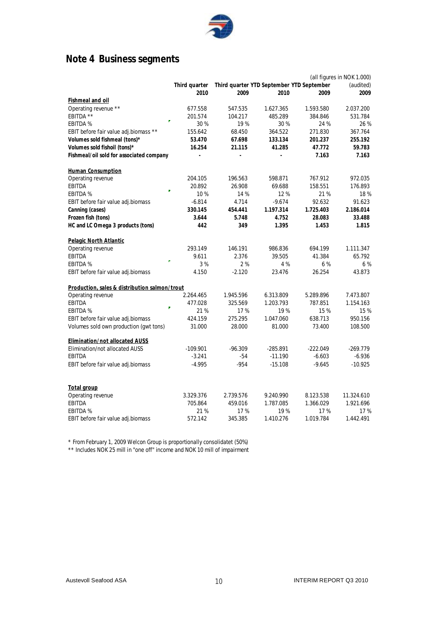

# **Note 4 Business segments**

|                                               | (all figures in NOK 1.000) |           |                                           |            |            |
|-----------------------------------------------|----------------------------|-----------|-------------------------------------------|------------|------------|
|                                               | Third quarter              |           | Third quarter YTD September YTD September |            | (audited)  |
|                                               | 2010                       | 2009      | 2010                                      | 2009       | 2009       |
| <b>Fishmeal and oil</b>                       |                            |           |                                           |            |            |
| Operating revenue **                          | 677.558                    | 547.535   | 1.627.365                                 | 1.593.580  | 2.037.200  |
| EBITDA **                                     | 201.574                    | 104.217   | 485.289                                   | 384.846    | 531.784    |
| Ÿ.<br><b>EBITDA %</b>                         | 30 %                       | 19%       | 30%                                       | 24 %       | 26 %       |
| EBIT before fair value adj.biomass **         | 155.642                    | 68.450    | 364.522                                   | 271.830    | 367.764    |
| Volumes sold fishmeal (tons)*                 | 53.470                     | 67.698    | 133.134                                   | 201.237    | 255.192    |
| Volumes sold fishoil (tons)*                  | 16.254                     | 21.115    | 41.285                                    | 47.772     | 59.783     |
| Fishmeal/oil sold for associated company      |                            |           |                                           | 7.163      | 7.163      |
| <b>Human Consumption</b>                      |                            |           |                                           |            |            |
| Operating revenue                             | 204.105                    | 196.563   | 598.871                                   | 767.912    | 972.035    |
| EBITDA<br>÷                                   | 20.892                     | 26.908    | 69.688                                    | 158.551    | 176.893    |
| <b>EBITDA %</b>                               | 10%                        | 14 %      | 12%                                       | 21%        | 18%        |
| EBIT before fair value adj.biomass            | $-6.814$                   | 4.714     | $-9.674$                                  | 92.632     | 91.623     |
| Canning (cases)                               | 330.145                    | 454.441   | 1.197.314                                 | 1.725.403  | 2.186.014  |
| Frozen fish (tons)                            | 3.644                      | 5.748     | 4.752                                     | 28.083     | 33.488     |
| HC and LC Omega 3 products (tons)             | 442                        | 349       | 1.395                                     | 1.453      | 1.815      |
| Pelagic North Atlantic                        |                            |           |                                           |            |            |
| Operating revenue                             | 293.149                    | 146.191   | 986.836                                   | 694.199    | 1.111.347  |
| <b>EBITDA</b>                                 | 9.611                      | 2.376     | 39.505                                    | 41.384     | 65.792     |
| ٠<br><b>EBITDA %</b>                          | 3%                         | 2%        | 4 %                                       | 6%         | 6 %        |
| EBIT before fair value adj.biomass            | 4.150                      | $-2.120$  | 23.476                                    | 26.254     | 43.873     |
| Production, sales & distribution salmon/trout |                            |           |                                           |            |            |
| Operating revenue                             | 2.264.465                  | 1.945.596 | 6.313.809                                 | 5.289.896  | 7.473.807  |
| <b>EBITDA</b>                                 | 477.028                    | 325.569   | 1.203.793                                 | 787.851    | 1.154.163  |
| <b>EBITDA %</b>                               | 21 %                       | 17%       | 19%                                       | 15 %       | 15%        |
| EBIT before fair value adj.biomass            | 424.159                    | 275.295   | 1.047.060                                 | 638.713    | 950.156    |
| Volumes sold own production (gwt tons)        | 31.000                     | 28.000    | 81.000                                    | 73.400     | 108.500    |
| <b>Elimination/not allocated AUSS</b>         |                            |           |                                           |            |            |
| Elimination/not allocated AUSS                | $-109.901$                 | $-96.309$ | $-285.891$                                | $-222.049$ | $-269.779$ |
| <b>EBITDA</b>                                 | $-3.241$                   | $-54$     | $-11.190$                                 | $-6.603$   | $-6.936$   |
| EBIT before fair value adj.biomass            | $-4.995$                   | $-954$    | $-15.108$                                 | $-9.645$   | $-10.925$  |
|                                               |                            |           |                                           |            |            |
| <u>Total group</u>                            |                            |           |                                           |            |            |
| Operating revenue                             | 3.329.376                  | 2.739.576 | 9.240.990                                 | 8.123.538  | 11.324.610 |
| <b>EBITDA</b>                                 | 705.864                    | 459.016   | 1.787.085                                 | 1.366.029  | 1.921.696  |
| <b>EBITDA %</b>                               | 21 %                       | 17%       | 19%                                       | 17%        | 17%        |
| EBIT before fair value adj.biomass            | 572.142                    | 345.385   | 1.410.276                                 | 1.019.784  | 1.442.491  |

\* From February 1, 2009 Welcon Group is proportionally consolidatet (50%)

\*\* Includes NOK 25 mill in "one off" income and NOK 10 mill of impairment